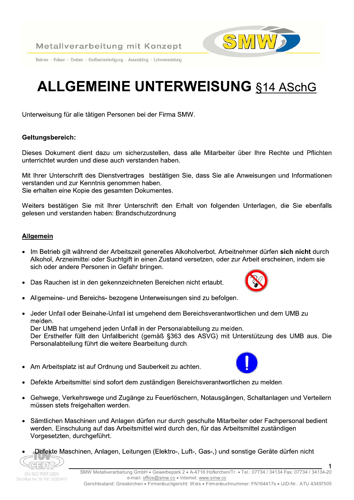Bohren · Fräsen · Drehen · Großserienfertigung · Assembling · Lohnveredelung

# **ALLGEMEINE UNTERWEISUNG §14 ASchG**

Unterweisung für alle tätigen Personen bei der Firma SMW.

## Geltungsbereich:

Dieses Dokument dient dazu um sicherzustellen, dass alle Mitarbeiter über Ihre Rechte und Pflichten unterrichtet wurden und diese auch verstanden haben

Mit Ihrer Unterschrift des Dienstvertrages bestätigen Sie, dass Sie alle Anweisungen und Informationen verstanden und zur Kenntnis genommen haben. Sie erhalten eine Kopie des gesamten Dokumentes.

Weiters bestätigen Sie mit Ihrer Unterschrift den Erhalt von folgenden Unterlagen, die Sie ebenfalls gelesen und verstanden haben: Brandschutzordnung

## **Allgemein**

- · Im Betrieb gilt während der Arbeitszeit generelles Alkoholverbot. Arbeitnehmer dürfen sich nicht durch Alkohol, Arzneimittel oder Suchtgift in einen Zustand versetzen, oder zur Arbeit erscheinen, indem sie sich oder andere Personen in Gefahr bringen.
- Das Rauchen ist in den gekennzeichneten Bereichen nicht erlaubt.  $\bullet$
- Allgemeine- und Bereichs- bezogene Unterweisungen sind zu befolgen.
- Jeder Unfall oder Beinahe-Unfall ist umgehend dem Bereichsverantwortlichen und dem UMB zu melden.

Der UMB hat umgehend jeden Unfall in der Personalabteilung zu melden. Der Ersthelfer füllt den Unfallbericht (gemäß §363 des ASVG) mit Unterstützung des UMB aus. Die Personalabteilung führt die weitere Bearbeitung durch.

- Am Arbeitsplatz ist auf Ordnung und Sauberkeit zu achten.
- Defekte Arbeitsmittel sind sofort dem zuständigen Bereichsverantwortlichen zu melden.
- Gehwege, Verkehrswege und Zugänge zu Feuerlöschern, Notausgängen, Schaltanlagen und Verteilern müssen stets freigehalten werden.
- Sämtlichen Maschinen und Anlagen dürfen nur durch geschulte Mitarbeiter oder Fachpersonal bedient werden. Einschulung auf das Arbeitsmittel wird durch den, für das Arbeitsmittel zuständigen Vorgesetzten, durchgeführt.
- Defekte Maschinen, Anlagen, Leitungen (Elektro-, Luft-, Gas-,) und sonstige Geräte dürfen nicht







 $\mathbf 1$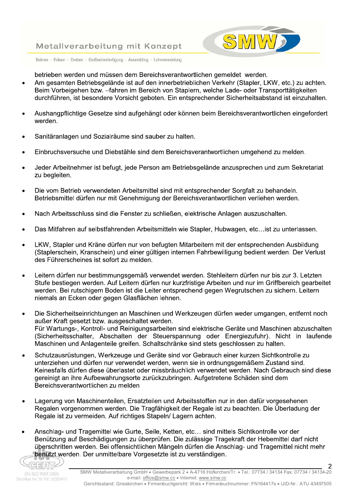

Bohren · Fräsen · Drehen · Großserienfertigung · Assembling · Lohnveredelung

betrieben werden und müssen dem Bereichsverantwortlichen gemeldet werden.

- Am gesamten Betriebsgelände ist auf den innerbetrieblichen Verkehr (Stapler, LKW, etc.) zu achten. Beim Vorbeigehen bzw. -fahren im Bereich von Staplern, welche Lade- oder Transporttätigkeiten durchführen, ist besondere Vorsicht geboten. Ein entsprechender Sicherheitsabstand ist einzuhalten.
- Aushangpflichtige Gesetze sind aufgehängt oder können beim Bereichsverantwortlichen eingefordert werden.
- Sanitäranlagen und Sozialräume sind sauber zu halten.
- Einbruchsversuche und Diebstähle sind dem Bereichsverantwortlichen umgehend zu melden.
- Jeder Arbeitnehmer ist befugt, jede Person am Betriebsgelände anzusprechen und zum Sekretariat zu begleiten.
- Die vom Betrieb verwendeten Arbeitsmittel sind mit entsprechender Sorgfalt zu behandeln. Betriebsmittel dürfen nur mit Genehmigung der Bereichsverantwortlichen verliehen werden.
- Nach Arbeitsschluss sind die Fenster zu schließen, elektrische Anlagen auszuschalten.
- Das Mitfahren auf selbstfahrenden Arbeitsmitteln wie Stapler, Hubwagen, etc... ist zu unterlassen.
- LKW, Stapler und Kräne dürfen nur von befugten Mitarbeitern mit der entsprechenden Ausbildung (Staplerschein, Kranschein) und einer gültigen internen Fahrbewilligung bedient werden. Der Verlust des Führerscheines ist sofort zu melden.
- Leitern dürfen nur bestimmungsgemäß verwendet werden. Stehleitern dürfen nur bis zur 3. Letzten Stufe bestiegen werden. Auf Leitern dürfen nur kurzfristige Arbeiten und nur im Griffbereich gearbeitet werden. Bei rutschigem Boden ist die Leiter entsprechend gegen Wegrutschen zu sichern. Leitern niemals an Ecken oder gegen Glasflächen lehnen.
- Die Sicherheitseinrichtungen an Maschinen und Werkzeugen dürfen weder umgangen, entfernt noch außer Kraft gesetzt bzw. ausgeschaltet werden. Für Wartungs-, Kontroll- und Reinigungsarbeiten sind elektrische Geräte und Maschinen abzuschalten (Sicherheitsschalter, Abschalten der Steuerspannung oder Energiezufuhr). Nicht in laufende Maschinen und Anlagenteile greifen. Schaltschränke sind stets geschlossen zu halten.
- Schutzausrüstungen. Werkzeuge und Geräte sind vor Gebrauch einer kurzen Sichtkontrolle zu unterziehen und dürfen nur verwendet werden, wenn sie in ordnungsgemäßem Zustand sind. Keinesfalls dürfen diese überlastet oder missbräuchlich verwendet werden. Nach Gebrauch sind diese gereinigt an ihre Aufbewahrungsorte zurückzubringen. Aufgetretene Schäden sind dem Bereichsverantwortlichen zu melden
- Lagerung von Maschinenteilen, Ersatzteilen und Arbeitsstoffen nur in den dafür vorgesehenen  $\bullet$ Regalen vorgenommen werden. Die Tragfähigkeit der Regale ist zu beachten. Die Überladung der Regale ist zu vermeiden. Auf richtiges Stapeln/ Lagern achten.
- Anschlag- und Tragemittel wie Gurte, Seile, Ketten, etc... sind mittels Sichtkontrolle vor der Benützung auf Beschädigungen zu überprüfen. Die zulässige Tragekraft der Hebemittel darf nicht überschritten werden. Bei offensichtlichen Mängeln dürfen die Anschlag- und Tragemittel nicht mehr benützt werden. Der unmittelbare Vorgesetzte ist zu verständigen.

 $\overline{2}$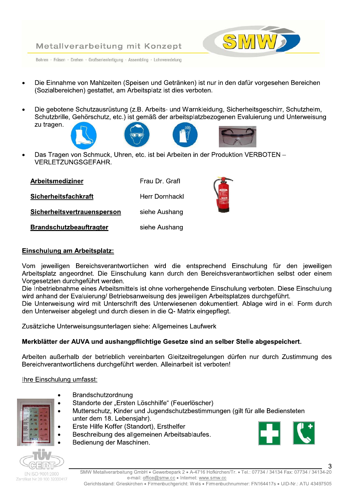

Bohren · Fräsen · Drehen · Großserienfertigung · Assembling · Lohnveredelung

- Die Einnahme von Mahlzeiten (Speisen und Getränken) ist nur in den dafür vorgesehen Bereichen (Sozialbereichen) gestattet, am Arbeitsplatz ist dies verboten.
- Die gebotene Schutzausrüstung (z.B. Arbeits- und Warnkleidung, Sicherheitsgeschirr, Schutzhelm, Schutzbrille, Gehörschutz, etc.) ist gemäß der arbeitsplatzbezogenen Evaluierung und Unterweisung zu tragen.





Das Tragen von Schmuck, Uhren, etc. ist bei Arbeiten in der Produktion VERBOTEN -**VERLETZUNGSGEFAHR.** 

| Arbeitsmediziner               | Frau Dr. Grafl        |
|--------------------------------|-----------------------|
| Sicherheitsfachkraft           | <b>Herr Dornhackl</b> |
| Sicherheitsvertrauensperson    | siehe Aushang         |
| <b>Brandschutzbeauftragter</b> | siehe Aushang         |

#### Einschulung am Arbeitsplatz:

Vom jeweiligen Bereichsverantwortlichen wird die entsprechend Einschulung für den jeweiligen Arbeitsplatz angeordnet. Die Einschulung kann durch den Bereichsverantwortlichen selbst oder einem Vorgesetzten durchgeführt werden.

Die Inbetriebnahme eines Arbeitsmittels ist ohne vorhergehende Einschulung verboten. Diese Einschulung wird anhand der Evaluierung/ Betriebsanweisung des jeweiligen Arbeitsplatzes durchgeführt.

Die Unterweisung wird mit Unterschrift des Unterwiesenen dokumentiert. Ablage wird in el. Form durch den Unterweiser abgelegt und durch diesen in die Q- Matrix eingepflegt.

Zusätzliche Unterweisungsunterlagen siehe: Allgemeines Laufwerk

# Merkblätter der AUVA und aushangpflichtige Gesetze sind an selber Stelle abgespeichert.

Arbeiten außerhalb der betrieblich vereinbarten Gleitzeitregelungen dürfen nur durch Zustimmung des Bereichverantwortlichens durchgeführt werden. Alleinarbeit ist verboten!

## Ihre Einschulung umfasst:

- 
- Brandschutzordnung
- Standorte der "Ersten Löschhilfe" (Feuerlöscher)
- Mutterschutz, Kinder und Jugendschutzbestimmungen (gilt für alle Bediensteten unter dem 18. Lebensjahr).
- Erste Hilfe Koffer (Standort), Ersthelfer
- Beschreibung des allgemeinen Arbeitsablaufes.
- Bedienung der Maschinen.



З

EN ISO 9001-2000 Zertifikat Nr. 20 100 32000417 SMW Metallverarbeitung GmbH · Gewerbepark 2 · A-4716 Hofkirchen/Tr. · Tel.: 07734 / 34134 Fax: 07734 / 34134-20 e-mail: office@smw.cc . Internet: www.smw.cc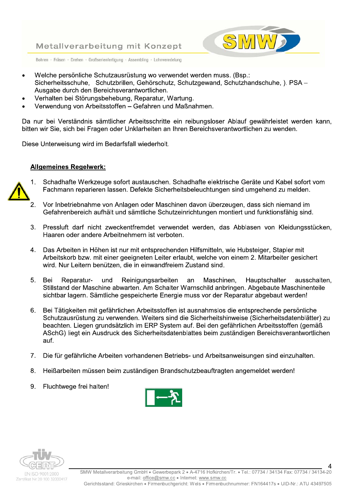

Bohren · Fräsen · Drehen · Großserienfertigung · Assembling · Lohnveredelung

- Welche persönliche Schutzausrüstung wo verwendet werden muss. (Bsp.: Sicherheitsschuhe, Schutzbrillen, Gehörschutz, Schutzgewand, Schutzhandschuhe, ). PSA-Ausgabe durch den Bereichsverantwortlichen.
- Verhalten bei Störungsbehebung, Reparatur, Wartung.
- Verwendung von Arbeitsstoffen Gefahren und Maßnahmen.

Da nur bei Verständnis sämtlicher Arbeitsschritte ein reibungsloser Ablauf gewährleistet werden kann. bitten wir Sie, sich bei Fragen oder Unklarheiten an Ihren Bereichsverantwortlichen zu wenden.

Diese Unterweisung wird im Bedarfsfall wiederholt.

#### **Allgemeines Regelwerk:**



- Schadhafte Werkzeuge sofort austauschen. Schadhafte elektrische Geräte und Kabel sofort vom  $1<sub>1</sub>$ Fachmann reparieren lassen. Defekte Sicherheitsbeleuchtungen sind umgehend zu melden.
- Vor Inbetriebnahme von Anlagen oder Maschinen davon überzeugen, dass sich niemand im  $\overline{2}$ . Gefahrenbereich aufhält und sämtliche Schutzeinrichtungen montiert und funktionsfähig sind.
- 3. Pressluft darf nicht zweckentfremdet verwendet werden, das Abblasen von Kleidungsstücken, Haaren oder andere Arbeitnehmern ist verboten.
- Das Arbeiten in Höhen ist nur mit entsprechenden Hilfsmitteln, wie Hubsteiger, Stapler mit  $\overline{4}$ . Arbeitskorb bzw. mit einer geeigneten Leiter erlaubt, welche von einem 2. Mitarbeiter gesichert wird. Nur Leitern benützen, die in einwandfreiem Zustand sind.
- 5 Bei Reparaturund Reinigungsarbeiten an Maschinen. Hauptschalter ausschalten. Stillstand der Maschine abwarten. Am Schalter Warnschild anbringen. Abgebaute Maschinenteile sichtbar lagern. Sämtliche gespeicherte Energie muss vor der Reparatur abgebaut werden!
- Bei Tätigkeiten mit gefährlichen Arbeitsstoffen ist ausnahmslos die entsprechende persönliche 6. Schutzausrüstung zu verwenden. Weiters sind die Sicherheitshinweise (Sicherheitsdatenblätter) zu beachten. Liegen grundsätzlich im ERP System auf. Bei den gefährlichen Arbeitsstoffen (gemäß ASchG) liegt ein Ausdruck des Sicherheitsdatenblattes beim zuständigen Bereichsverantwortlichen auf.
- Die für gefährliche Arbeiten vorhandenen Betriebs- und Arbeitsanweisungen sind einzuhalten.  $7<sub>1</sub>$
- 8. Heißarbeiten müssen beim zuständigen Brandschutzbeauftragten angemeldet werden!
- Fluchtwege frei halten! 9.





SMW Metallverarbeitung GmbH · Gewerbepark 2 · A-4716 Hofkirchen/Tr. · Tel.: 07734 / 34134 Fax: 07734 / 34134-20 e-mail: office@smw.cc . Internet: www.smw.cc Gerichtsstand: Grieskirchen • Firmenbuchgericht: Wels • Firmenbuchnummer: FN164417s • UID-Nr.: ATU 43497505